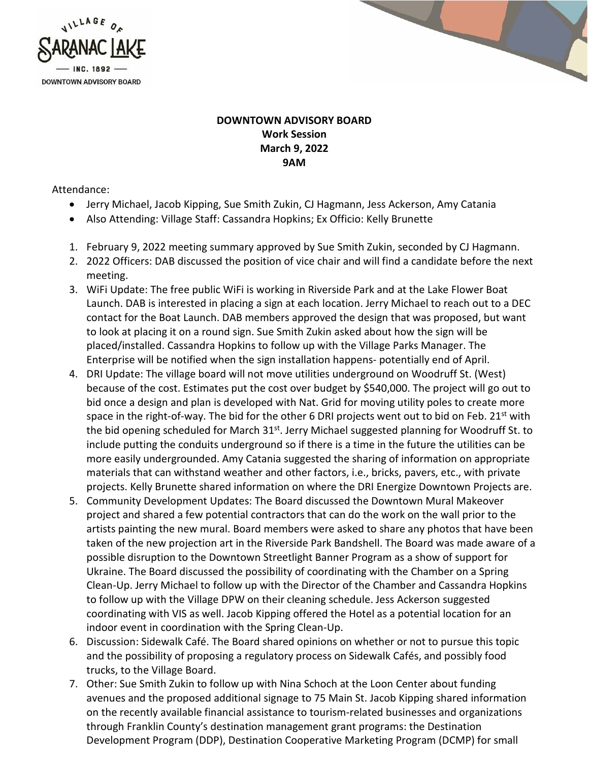



## **DOWNTOWN ADVISORY BOARD Work Session March 9, 2022 9AM**

## Attendance:

- Jerry Michael, Jacob Kipping, Sue Smith Zukin, CJ Hagmann, Jess Ackerson, Amy Catania
- Also Attending: Village Staff: Cassandra Hopkins; Ex Officio: Kelly Brunette
- 1. February 9, 2022 meeting summary approved by Sue Smith Zukin, seconded by CJ Hagmann.
- 2. 2022 Officers: DAB discussed the position of vice chair and will find a candidate before the next meeting.
- 3. WiFi Update: The free public WiFi is working in Riverside Park and at the Lake Flower Boat Launch. DAB is interested in placing a sign at each location. Jerry Michael to reach out to a DEC contact for the Boat Launch. DAB members approved the design that was proposed, but want to look at placing it on a round sign. Sue Smith Zukin asked about how the sign will be placed/installed. Cassandra Hopkins to follow up with the Village Parks Manager. The Enterprise will be notified when the sign installation happens- potentially end of April.
- 4. DRI Update: The village board will not move utilities underground on Woodruff St. (West) because of the cost. Estimates put the cost over budget by \$540,000. The project will go out to bid once a design and plan is developed with Nat. Grid for moving utility poles to create more space in the right-of-way. The bid for the other 6 DRI projects went out to bid on Feb.  $21^{st}$  with the bid opening scheduled for March  $31^{st}$ . Jerry Michael suggested planning for Woodruff St. to include putting the conduits underground so if there is a time in the future the utilities can be more easily undergrounded. Amy Catania suggested the sharing of information on appropriate materials that can withstand weather and other factors, i.e., bricks, pavers, etc., with private projects. Kelly Brunette shared information on where the DRI Energize Downtown Projects are.
- 5. Community Development Updates: The Board discussed the Downtown Mural Makeover project and shared a few potential contractors that can do the work on the wall prior to the artists painting the new mural. Board members were asked to share any photos that have been taken of the new projection art in the Riverside Park Bandshell. The Board was made aware of a possible disruption to the Downtown Streetlight Banner Program as a show of support for Ukraine. The Board discussed the possibility of coordinating with the Chamber on a Spring Clean-Up. Jerry Michael to follow up with the Director of the Chamber and Cassandra Hopkins to follow up with the Village DPW on their cleaning schedule. Jess Ackerson suggested coordinating with VIS as well. Jacob Kipping offered the Hotel as a potential location for an indoor event in coordination with the Spring Clean-Up.
- 6. Discussion: Sidewalk Café. The Board shared opinions on whether or not to pursue this topic and the possibility of proposing a regulatory process on Sidewalk Cafés, and possibly food trucks, to the Village Board.
- 7. Other: Sue Smith Zukin to follow up with Nina Schoch at the Loon Center about funding avenues and the proposed additional signage to 75 Main St. Jacob Kipping shared information on the recently available financial assistance to tourism-related businesses and organizations through Franklin County's destination management grant programs: the Destination Development Program (DDP), Destination Cooperative Marketing Program (DCMP) for small